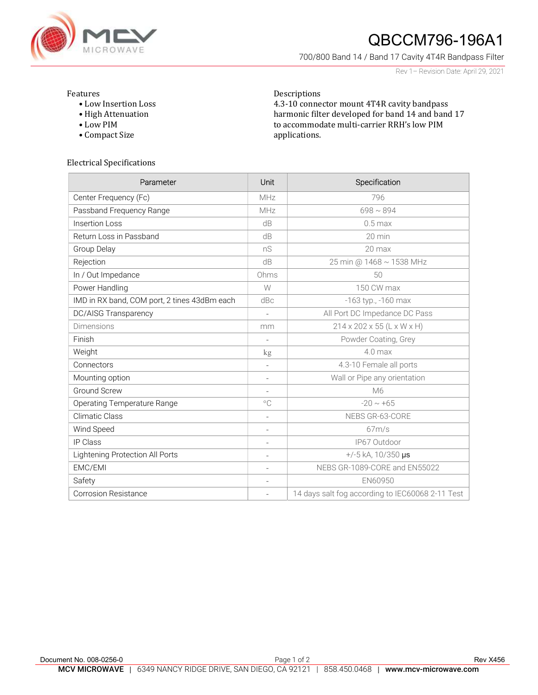

# QBCCM796-196A1

700/800 Band 14 / Band 17 Cavity 4T4R Bandpass Filter

Rev 1– Revision Date: April 29, 2021

#### Features

- Low Insertion Loss
- High Attenuation
- Low PIM
- Compact Size

### Descriptions 4.3-10 connector mount 4T4R cavity bandpass harmonic filter developed for band 14 and band 17 to accommodate multi-carrier RRH's low PIM applications.

#### Electrical Specifications

| Parameter                                    | Unit                     | Specification                                    |
|----------------------------------------------|--------------------------|--------------------------------------------------|
| Center Frequency (Fc)                        | MHz                      | 796                                              |
| Passband Frequency Range                     | MHz                      | $698 \sim 894$                                   |
| Insertion Loss                               | dB                       | $0.5$ max                                        |
| Return Loss in Passband                      | dB                       | 20 min                                           |
| Group Delay                                  | nS                       | 20 max                                           |
| Rejection                                    | dB                       | 25 min @ 1468 ~ 1538 MHz                         |
| In / Out Impedance                           | Ohms                     | 50                                               |
| Power Handling                               | W                        | 150 CW max                                       |
| IMD in RX band, COM port, 2 tines 43dBm each | dBc                      | -163 typ., -160 max                              |
| <b>DC/AISG Transparency</b>                  | $\overline{\phantom{a}}$ | All Port DC Impedance DC Pass                    |
| Dimensions                                   | mm                       | 214 x 202 x 55 (L x W x H)                       |
| Finish                                       | $\overline{\phantom{a}}$ | Powder Coating, Grey                             |
| Weight                                       | $\mathrm{kg}$            | $4.0$ max                                        |
| Connectors                                   | $\overline{\phantom{a}}$ | 4.3-10 Female all ports                          |
| Mounting option                              | $\overline{\phantom{a}}$ | Wall or Pipe any orientation                     |
| <b>Ground Screw</b>                          | $\overline{\phantom{a}}$ | M6                                               |
| <b>Operating Temperature Range</b>           | $^{\circ}$ C             | $-20 \sim +65$                                   |
| Climatic Class                               | $\overline{\phantom{a}}$ | NEBS GR-63-CORE                                  |
| Wind Speed                                   | $\overline{\phantom{a}}$ | 67m/s                                            |
| <b>IP Class</b>                              | $\overline{\phantom{a}}$ | IP67 Outdoor                                     |
| Lightening Protection All Ports              | $\overline{\phantom{a}}$ | $+/-5$ kA, 10/350 µs                             |
| EMC/EMI                                      | $\overline{\phantom{a}}$ | NEBS GR-1089-CORE and EN55022                    |
| Safety                                       | $\overline{\phantom{a}}$ | EN60950                                          |
| <b>Corrosion Resistance</b>                  | $\overline{\phantom{a}}$ | 14 days salt fog according to IEC60068 2-11 Test |